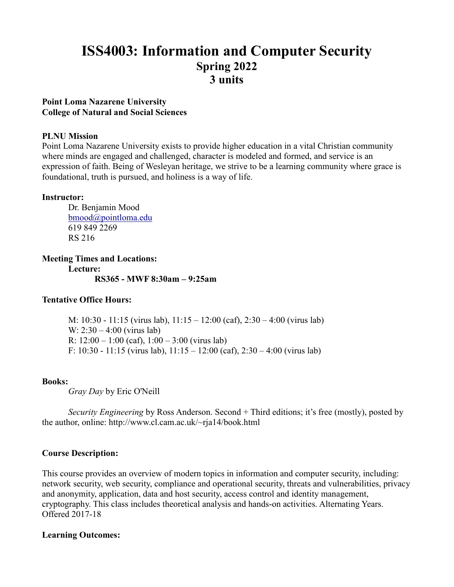# **ISS4003: Information and Computer Security Spring 2022 3 units**

# **Point Loma Nazarene University College of Natural and Social Sciences**

# **PLNU Mission**

Point Loma Nazarene University exists to provide higher education in a vital Christian community where minds are engaged and challenged, character is modeled and formed, and service is an expression of faith. Being of Wesleyan heritage, we strive to be a learning community where grace is foundational, truth is pursued, and holiness is a way of life.

#### **Instructor:**

Dr. Benjamin Mood [bmood@pointloma.edu](mailto:bmood@pointloma.edu) 619 849 2269 RS 216

**Meeting Times and Locations: Lecture: RS365 - MWF 8:30am – 9:25am**

# **Tentative Office Hours:**

M: 10:30 - 11:15 (virus lab), 11:15 – 12:00 (caf), 2:30 – 4:00 (virus lab) W: 2:30 – 4:00 (virus lab) R:  $12:00 - 1:00$  (caf),  $1:00 - 3:00$  (virus lab) F:  $10:30 - 11:15$  (virus lab),  $11:15 - 12:00$  (caf),  $2:30 - 4:00$  (virus lab)

#### **Books:**

*Gray Day* by Eric O'Neill

*Security Engineering* by Ross Anderson. Second + Third editions; it's free (mostly), posted by the author, online: http://www.cl.cam.ac.uk/~rja14/book.html

# **Course Description:**

This course provides an overview of modern topics in information and computer security, including: network security, web security, compliance and operational security, threats and vulnerabilities, privacy and anonymity, application, data and host security, access control and identity management, cryptography. This class includes theoretical analysis and hands-on activities. Alternating Years. Offered 2017-18

#### **Learning Outcomes:**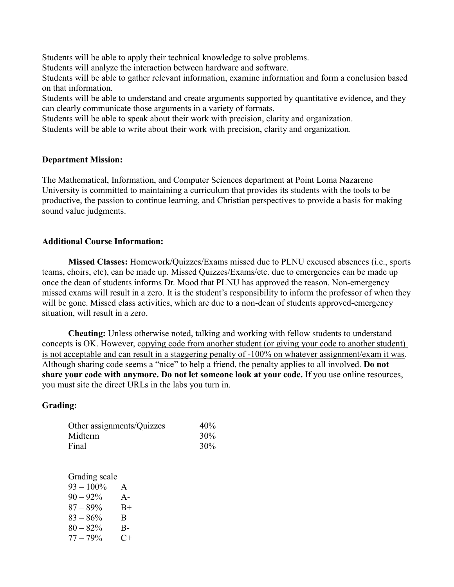Students will be able to apply their technical knowledge to solve problems.

Students will analyze the interaction between hardware and software.

Students will be able to gather relevant information, examine information and form a conclusion based on that information.

Students will be able to understand and create arguments supported by quantitative evidence, and they can clearly communicate those arguments in a variety of formats.

Students will be able to speak about their work with precision, clarity and organization.

Students will be able to write about their work with precision, clarity and organization.

#### **Department Mission:**

The Mathematical, Information, and Computer Sciences department at Point Loma Nazarene University is committed to maintaining a curriculum that provides its students with the tools to be productive, the passion to continue learning, and Christian perspectives to provide a basis for making sound value judgments.

# **Additional Course Information:**

**Missed Classes:** Homework/Quizzes/Exams missed due to PLNU excused absences (i.e., sports teams, choirs, etc), can be made up. Missed Quizzes/Exams/etc. due to emergencies can be made up once the dean of students informs Dr. Mood that PLNU has approved the reason. Non-emergency missed exams will result in a zero. It is the student's responsibility to inform the professor of when they will be gone. Missed class activities, which are due to a non-dean of students approved-emergency situation, will result in a zero.

**Cheating:** Unless otherwise noted, talking and working with fellow students to understand concepts is OK. However, copying code from another student (or giving your code to another student) is not acceptable and can result in a staggering penalty of -100% on whatever assignment/exam it was. Although sharing code seems a "nice" to help a friend, the penalty applies to all involved. **Do not share your code with anymore. Do not let someone look at your code.** If you use online resources, you must site the direct URLs in the labs you turn in.

# **Grading:**

| Other assignments/Quizzes | 40% |
|---------------------------|-----|
| Midterm                   | 30% |
| Final                     | 30% |

Grading scale  $93 - 100\%$  A  $90 - 92\%$  A- $87 - 89\%$  B+  $83 - 86\%$  B  $80 - 82\%$  B- $77 - 79\%$  C+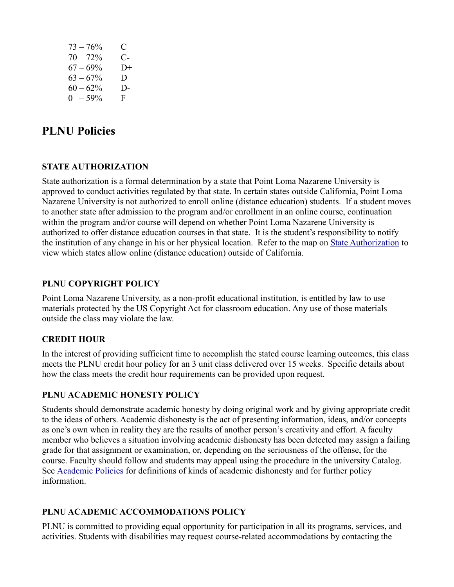| $73 - 76%$  | C.   |
|-------------|------|
| $70 - 72%$  | $C-$ |
| $67 - 69\%$ | $D+$ |
| $63 - 67\%$ | D.   |
| $60 - 62%$  | D-   |
| $0 - 59\%$  | F.   |

# **PLNU Policies**

# **STATE AUTHORIZATION**

State authorization is a formal determination by a state that Point Loma Nazarene University is approved to conduct activities regulated by that state. In certain states outside California, Point Loma Nazarene University is not authorized to enroll online (distance education) students. If a student moves to another state after admission to the program and/or enrollment in an online course, continuation within the program and/or course will depend on whether Point Loma Nazarene University is authorized to offer distance education courses in that state. It is the student's responsibility to notify the institution of any change in his or her physical location. Refer to the map on [State Authorization](https://www.pointloma.edu/offices/office-institutional-effectiveness-research/disclosures) to view which states allow online (distance education) outside of California.

# **PLNU COPYRIGHT POLICY**

Point Loma Nazarene University, as a non-profit educational institution, is entitled by law to use materials protected by the US Copyright Act for classroom education. Any use of those materials outside the class may violate the law.

# **CREDIT HOUR**

In the interest of providing sufficient time to accomplish the stated course learning outcomes, this class meets the PLNU credit hour policy for an 3 unit class delivered over 15 weeks. Specific details about how the class meets the credit hour requirements can be provided upon request.

# **PLNU ACADEMIC HONESTY POLICY**

Students should demonstrate academic honesty by doing original work and by giving appropriate credit to the ideas of others. Academic dishonesty is the act of presenting information, ideas, and/or concepts as one's own when in reality they are the results of another person's creativity and effort. A faculty member who believes a situation involving academic dishonesty has been detected may assign a failing grade for that assignment or examination, or, depending on the seriousness of the offense, for the course. Faculty should follow and students may appeal using the procedure in the university Catalog. See [Academic Policies](https://catalog.pointloma.edu/content.php?catoid=52&navoid=2919#Academic_Honesty) for definitions of kinds of academic dishonesty and for further policy information.

# **PLNU ACADEMIC ACCOMMODATIONS POLICY**

PLNU is committed to providing equal opportunity for participation in all its programs, services, and activities. Students with disabilities may request course-related accommodations by contacting the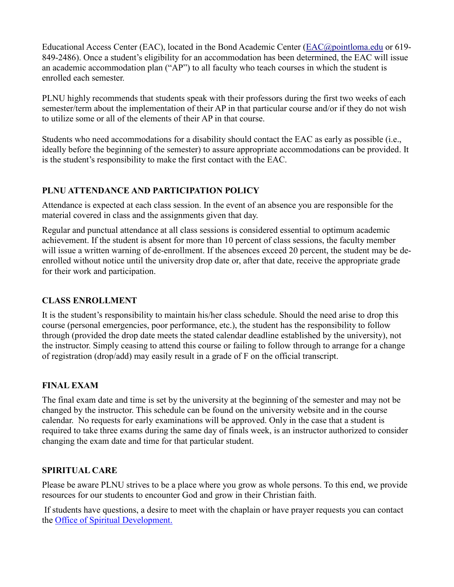Educational Access Center (EAC), located in the Bond Academic Center [\(EAC@pointloma.edu](mailto:EAC@pointloma.edu) or 619- 849-2486). Once a student's eligibility for an accommodation has been determined, the EAC will issue an academic accommodation plan ("AP") to all faculty who teach courses in which the student is enrolled each semester.

PLNU highly recommends that students speak with their professors during the first two weeks of each semester/term about the implementation of their AP in that particular course and/or if they do not wish to utilize some or all of the elements of their AP in that course.

Students who need accommodations for a disability should contact the EAC as early as possible (i.e., ideally before the beginning of the semester) to assure appropriate accommodations can be provided. It is the student's responsibility to make the first contact with the EAC.

# **PLNU ATTENDANCE AND PARTICIPATION POLICY**

Attendance is expected at each class session. In the event of an absence you are responsible for the material covered in class and the assignments given that day.

Regular and punctual attendance at all class sessions is considered essential to optimum academic achievement. If the student is absent for more than 10 percent of class sessions, the faculty member will issue a written warning of de-enrollment. If the absences exceed 20 percent, the student may be deenrolled without notice until the university drop date or, after that date, receive the appropriate grade for their work and participation.

# **CLASS ENROLLMENT**

It is the student's responsibility to maintain his/her class schedule. Should the need arise to drop this course (personal emergencies, poor performance, etc.), the student has the responsibility to follow through (provided the drop date meets the stated calendar deadline established by the university), not the instructor. Simply ceasing to attend this course or failing to follow through to arrange for a change of registration (drop/add) may easily result in a grade of F on the official transcript.

# **FINAL EXAM**

The final exam date and time is set by the university at the beginning of the semester and may not be changed by the instructor. This schedule can be found on the university website and in the course calendar. No requests for early examinations will be approved. Only in the case that a student is required to take three exams during the same day of finals week, is an instructor authorized to consider changing the exam date and time for that particular student.

# **SPIRITUAL CARE**

Please be aware PLNU strives to be a place where you grow as whole persons. To this end, we provide resources for our students to encounter God and grow in their Christian faith.

If students have questions, a desire to meet with the chaplain or have prayer requests you can contact the Office of Spiritual Development.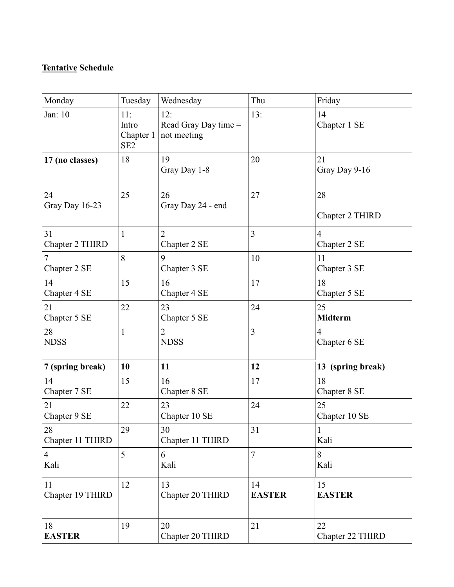# **Tentative Schedule**

| Monday                 | Tuesday                                      | Wednesday                                  | Thu                 | Friday                         |
|------------------------|----------------------------------------------|--------------------------------------------|---------------------|--------------------------------|
| Jan: 10                | 11:<br>Intro<br>Chapter 1<br>SE <sub>2</sub> | 12:<br>Read Gray Day time =<br>not meeting | 13:                 | 14<br>Chapter 1 SE             |
| 17 (no classes)        | 18                                           | 19<br>Gray Day 1-8                         | 20                  | 21<br>Gray Day 9-16            |
| 24<br>Gray Day 16-23   | 25                                           | 26<br>Gray Day 24 - end                    | 27                  | 28<br>Chapter 2 THIRD          |
| 31<br>Chapter 2 THIRD  | $\mathbf{1}$                                 | 2<br>Chapter 2 SE                          | 3                   | $\overline{4}$<br>Chapter 2 SE |
| Chapter 2 SE           | 8                                            | 9<br>Chapter 3 SE                          | 10                  | 11<br>Chapter 3 SE             |
| 14<br>Chapter 4 SE     | 15                                           | 16<br>Chapter 4 SE                         | 17                  | 18<br>Chapter 5 SE             |
| 21<br>Chapter 5 SE     | 22                                           | 23<br>Chapter 5 SE                         | 24                  | 25<br><b>Midterm</b>           |
| 28<br><b>NDSS</b>      | $\mathbf{1}$                                 | $\overline{2}$<br><b>NDSS</b>              | 3                   | $\overline{4}$<br>Chapter 6 SE |
| 7 (spring break)       | 10                                           | 11                                         | 12                  | 13 (spring break)              |
| 14<br>Chapter 7 SE     | 15                                           | 16<br>Chapter 8 SE                         | 17                  | 18<br>Chapter 8 SE             |
| 21<br>Chapter 9 SE     | 22                                           | 23<br>Chapter 10 SE                        | 24                  | 25<br>Chapter 10 SE            |
| 28<br>Chapter 11 THIRD | 29                                           | 30<br>Chapter 11 THIRD                     | 31                  | $\mathbf{1}$<br>Kali           |
| $\overline{4}$<br>Kali | 5                                            | 6<br>Kali                                  | $\overline{7}$      | 8<br>Kali                      |
| 11<br>Chapter 19 THIRD | 12                                           | 13<br>Chapter 20 THIRD                     | 14<br><b>EASTER</b> | 15<br><b>EASTER</b>            |
| 18<br><b>EASTER</b>    | 19                                           | 20<br>Chapter 20 THIRD                     | 21                  | 22<br>Chapter 22 THIRD         |